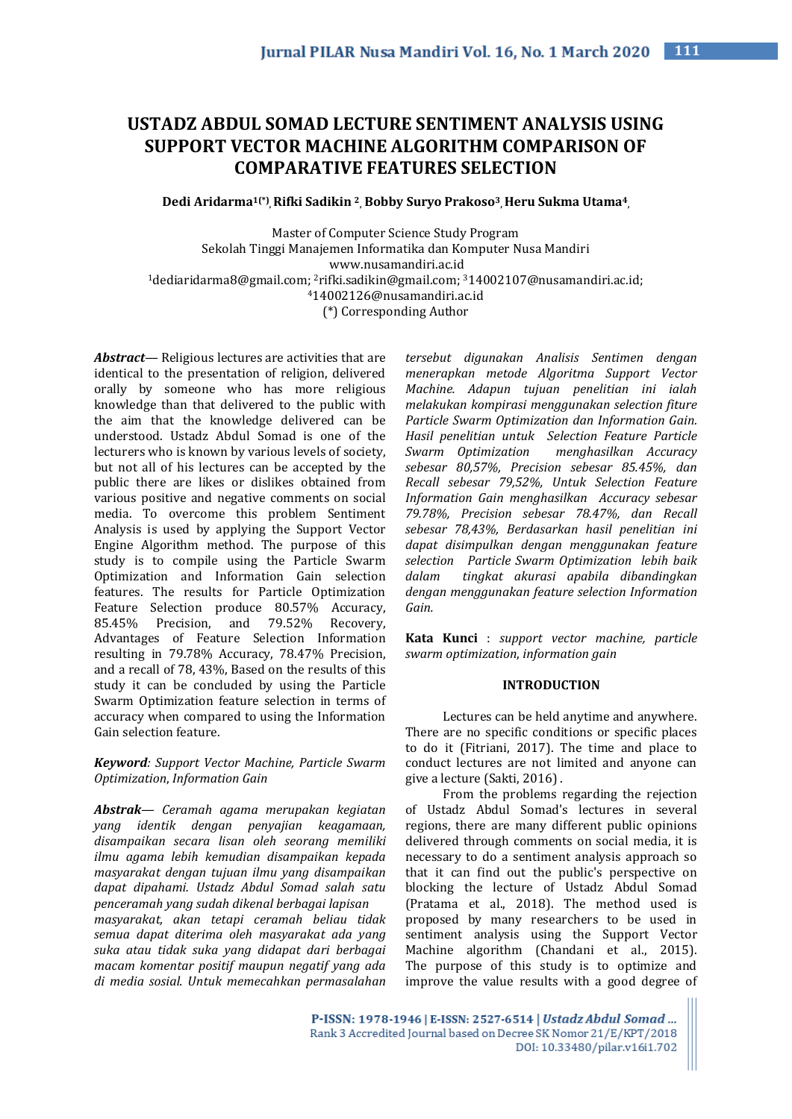# **USTADZ ABDUL SOMAD LECTURE SENTIMENT ANALYSIS USING SUPPORT VECTOR MACHINE ALGORITHM COMPARISON OF COMPARATIVE FEATURES SELECTION**

**Dedi Aridarma1(\*) , Rifki Sadikin <sup>2</sup> , Bobby Suryo Prakoso<sup>3</sup> , Heru Sukma Utama<sup>4</sup> ,**

Master of Computer Science Study Program Sekolah Tinggi Manajemen Informatika dan Komputer Nusa Mandiri www.nusamandiri.ac.id <sup>1</sup>dediaridarma8@gmail.com; 2rifki.sadikin@gmail.com; 314002107@nusamandiri.ac.id; <sup>4</sup>14002126@nusamandiri.ac.id (\*) Corresponding Author

*Abstract—* Religious lectures are activities that are identical to the presentation of religion, delivered orally by someone who has more religious knowledge than that delivered to the public with the aim that the knowledge delivered can be understood. Ustadz Abdul Somad is one of the lecturers who is known by various levels of society, but not all of his lectures can be accepted by the public there are likes or dislikes obtained from various positive and negative comments on social media. To overcome this problem Sentiment Analysis is used by applying the Support Vector Engine Algorithm method. The purpose of this study is to compile using the Particle Swarm Optimization and Information Gain selection features. The results for Particle Optimization Feature Selection produce 80.57% Accuracy, 85.45% Precision, and 79.52% Recovery, Advantages of Feature Selection Information resulting in 79.78% Accuracy, 78.47% Precision, and a recall of 78, 43%, Based on the results of this study it can be concluded by using the Particle Swarm Optimization feature selection in terms of accuracy when compared to using the Information Gain selection feature.

*Keyword: Support Vector Machine, Particle Swarm Optimization*, *Information Gain*

*Abstrak— Ceramah agama merupakan kegiatan yang identik dengan penyajian keagamaan, disampaikan secara lisan oleh seorang memiliki ilmu agama lebih kemudian disampaikan kepada masyarakat dengan tujuan ilmu yang disampaikan dapat dipahami. Ustadz Abdul Somad salah satu penceramah yang sudah dikenal berbagai lapisan masyarakat, akan tetapi ceramah beliau tidak semua dapat diterima oleh masyarakat ada yang suka atau tidak suka yang didapat dari berbagai macam komentar positif maupun negatif yang ada di media sosial. Untuk memecahkan permasalahan* 

*tersebut digunakan Analisis Sentimen dengan menerapkan metode Algoritma Support Vector Machine. Adapun tujuan penelitian ini ialah melakukan kompirasi menggunakan selection fiture Particle Swarm Optimization dan Information Gain. Hasil penelitian untuk Selection Feature Particle Swarm Optimization menghasilkan Accuracy sebesar 80,57%, Precision sebesar 85.45%, dan Recall sebesar 79,52%, Untuk Selection Feature Information Gain menghasilkan Accuracy sebesar 79.78%, Precision sebesar 78.47%, dan Recall sebesar 78,43%, Berdasarkan hasil penelitian ini dapat disimpulkan dengan menggunakan feature selection Particle Swarm Optimization lebih baik dalam tingkat akurasi apabila dibandingkan dengan menggunakan feature selection Information Gain.*

**Kata Kunci** : *support vector machine, particle swarm optimization*, *information gain*

#### **INTRODUCTION**

Lectures can be held anytime and anywhere. There are no specific conditions or specific places to do it (Fitriani, 2017). The time and place to conduct lectures are not limited and anyone can give a lecture (Sakti, 2016) .

From the problems regarding the rejection of Ustadz Abdul Somad's lectures in several regions, there are many different public opinions delivered through comments on social media, it is necessary to do a sentiment analysis approach so that it can find out the public's perspective on blocking the lecture of Ustadz Abdul Somad (Pratama et al., 2018). The method used is proposed by many researchers to be used in sentiment analysis using the Support Vector Machine algorithm (Chandani et al., 2015). The purpose of this study is to optimize and improve the value results with a good degree of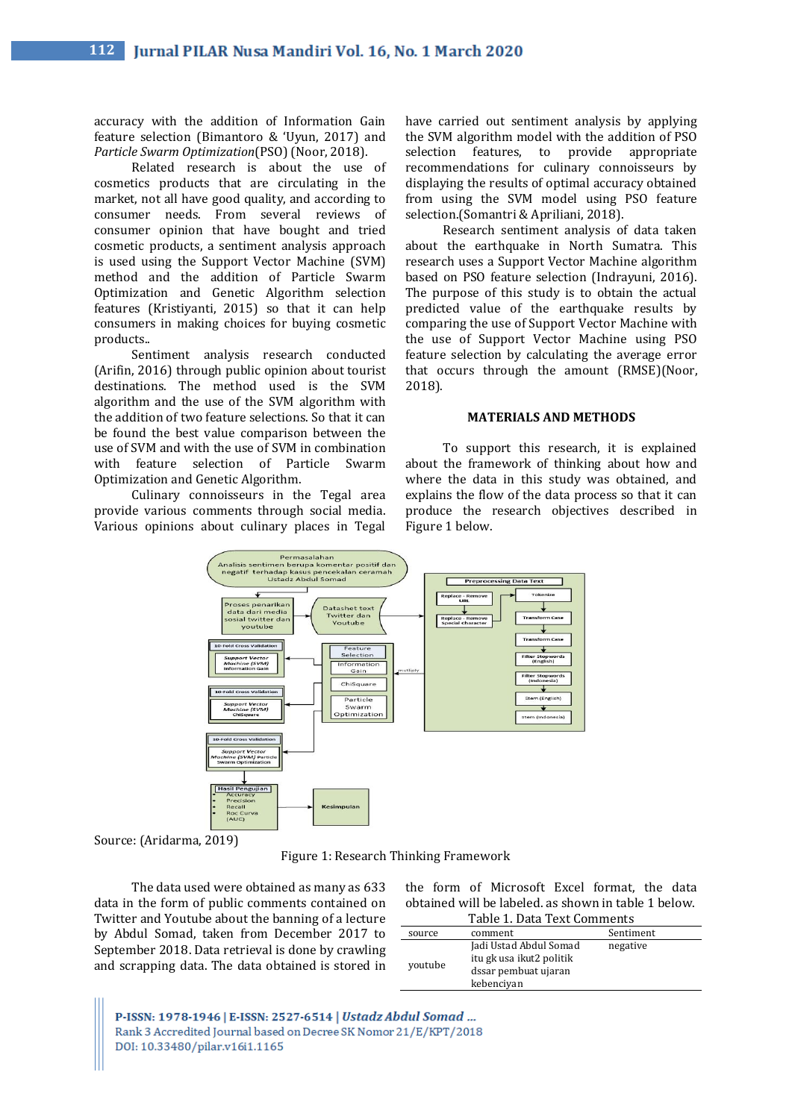accuracy with the addition of Information Gain feature selection (Bimantoro & 'Uyun, 2017) and *Particle Swarm Optimization*(PSO) (Noor, 2018).

Related research is about the use of cosmetics products that are circulating in the market, not all have good quality, and according to consumer needs. From several reviews of consumer opinion that have bought and tried cosmetic products, a sentiment analysis approach is used using the Support Vector Machine (SVM) method and the addition of Particle Swarm Optimization and Genetic Algorithm selection features (Kristiyanti, 2015) so that it can help consumers in making choices for buying cosmetic products..

Sentiment analysis research conducted (Arifin, 2016) through public opinion about tourist destinations. The method used is the SVM algorithm and the use of the SVM algorithm with the addition of two feature selections. So that it can be found the best value comparison between the use of SVM and with the use of SVM in combination with feature selection of Particle Swarm Optimization and Genetic Algorithm.

Culinary connoisseurs in the Tegal area provide various comments through social media. Various opinions about culinary places in Tegal have carried out sentiment analysis by applying the SVM algorithm model with the addition of PSO selection features, to provide appropriate recommendations for culinary connoisseurs by displaying the results of optimal accuracy obtained from using the SVM model using PSO feature selection.(Somantri & Apriliani, 2018).

Research sentiment analysis of data taken about the earthquake in North Sumatra. This research uses a Support Vector Machine algorithm based on PSO feature selection (Indrayuni, 2016). The purpose of this study is to obtain the actual predicted value of the earthquake results by comparing the use of Support Vector Machine with the use of Support Vector Machine using PSO feature selection by calculating the average error that occurs through the amount (RMSE)(Noor, 2018).

## **MATERIALS AND METHODS**

To support this research, it is explained about the framework of thinking about how and where the data in this study was obtained, and explains the flow of the data process so that it can produce the research objectives described in Figure 1 below.



Source: (Aridarma, 2019)

Figure 1: Research Thinking Framework

The data used were obtained as many as 633 data in the form of public comments contained on Twitter and Youtube about the banning of a lecture by Abdul Somad, taken from December 2017 to September 2018. Data retrieval is done by crawling and scrapping data. The data obtained is stored in

|                                                      |  |  | the form of Microsoft Excel format, the data |  |  |  |  |
|------------------------------------------------------|--|--|----------------------------------------------|--|--|--|--|
| obtained will be labeled, as shown in table 1 below. |  |  |                                              |  |  |  |  |
| Toble 1 Data Tout Commonts                           |  |  |                                              |  |  |  |  |

| Table 1. Data Text Comments |                                                                                          |           |  |
|-----------------------------|------------------------------------------------------------------------------------------|-----------|--|
| source                      | comment                                                                                  | Sentiment |  |
| youtube                     | Jadi Ustad Abdul Somad<br>itu gk usa ikut2 politik<br>dssar pembuat ujaran<br>kebenciyan | negative  |  |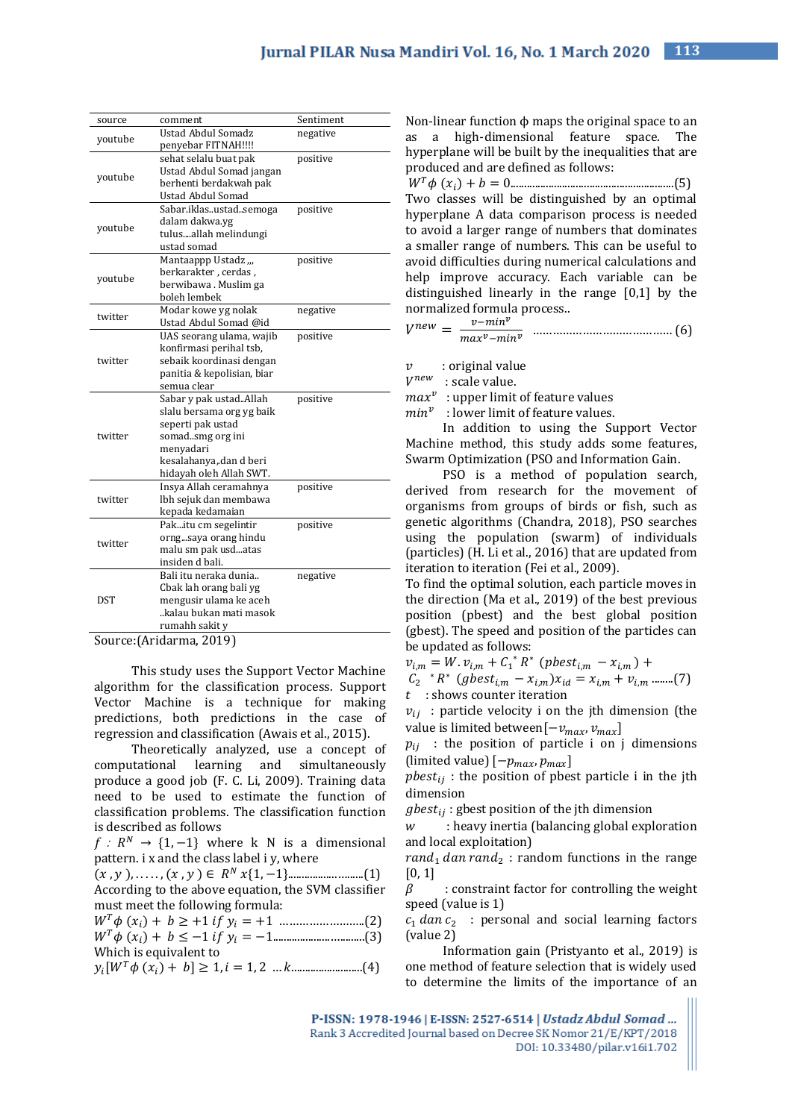| source      | comment                    | Sentiment |
|-------------|----------------------------|-----------|
| youtube     | <b>Ustad Abdul Somadz</b>  | negative  |
|             | penyebar FITNAH!!!!        |           |
|             | sehat selalu buat pak      | positive  |
| youtube     | Ustad Abdul Somad jangan   |           |
|             | berhenti berdakwah pak     |           |
|             | <b>Ustad Abdul Somad</b>   |           |
|             | Sabar.iklasustadsemoga     | positive  |
| youtube     | dalam dakwa.yg             |           |
|             | tulusallah melindungi      |           |
|             | ustad somad                |           |
|             | Mantaappp Ustadz "         | positive  |
| youtube     | berkarakter, cerdas,       |           |
|             | berwibawa. Muslim ga       |           |
|             | boleh lembek               |           |
| twitter     | Modar kowe yg nolak        | negative  |
|             | Ustad Abdul Somad @id      |           |
|             | UAS seorang ulama, wajib   | positive  |
|             | konfirmasi perihal tsb,    |           |
| twitter     | sebaik koordinasi dengan   |           |
|             | panitia & kepolisian, biar |           |
|             | semua clear                |           |
|             | Sabar y pak ustadAllah     | positive  |
|             | slalu bersama org yg baik  |           |
|             | seperti pak ustad          |           |
| twitter     | somadsmg org ini           |           |
|             | menyadari                  |           |
|             | kesalahanya, dan d beri    |           |
|             | hidayah oleh Allah SWT.    |           |
|             | Insya Allah ceramahnya     | positive  |
| twitter     | lbh sejuk dan membawa      |           |
|             | kepada kedamaian           |           |
|             | Pakitu cm segelintir       | positive  |
| twitter     | orngsaya orang hindu       |           |
|             | malu sm pak usdatas        |           |
|             | insiden d bali.            |           |
|             | Bali itu neraka dunia      | negative  |
|             | Cbak lah orang bali yg     |           |
| <b>DST</b>  | mengusir ulama ke aceh     |           |
|             | kalau bukan mati masok     |           |
|             | rumahh sakit y             |           |
| <b>ΓΛ</b> . | $1 - 2 - 2010$             |           |

Source:(Aridarma, 2019)

This study uses the Support Vector Machine algorithm for the classification process. Support Vector Machine is a technique for making predictions, both predictions in the case of regression and classification (Awais et al., 2015).

Theoretically analyzed, use a concept of computational learning and simultaneously produce a good job (F. C. Li, 2009). Training data need to be used to estimate the function of classification problems. The classification function is described as follows

 $f: R^N \rightarrow \{1, -1\}$  where k N is a dimensional pattern. i x and the class label i y, where

|--|--|--|

According to the above equation, the SVM classifier must meet the following formula:

 () + ≥ +1 = +1 ……………………..(2) () + ≤ −1 = −1.....................….........(3) Which is equivalent to

 $y_i[W^T\phi(x_i) + b] \ge 1, i = 1, 2 \dots k \dots \dots \dots \dots \dots (4)$ 

Non-linear function  $\phi$  maps the original space to an as a high-dimensional feature space. The hyperplane will be built by the inequalities that are produced and are defined as follows:

 () + = 0............................................................(5) Two classes will be distinguished by an optimal hyperplane A data comparison process is needed to avoid a larger range of numbers that dominates a smaller range of numbers. This can be useful to avoid difficulties during numerical calculations and help improve accuracy. Each variable can be distinguished linearly in the range [0,1] by the normalized formula process..

 = − − …………………………………… (6)

 $v$ : original value

 $V^{new}$  : scale value.

 $max<sup>v</sup>$ : upper limit of feature values

 $min<sup>v</sup>$  : lower limit of feature values.

In addition to using the Support Vector Machine method, this study adds some features, Swarm Optimization (PSO and Information Gain.

PSO is a method of population search, derived from research for the movement of organisms from groups of birds or fish, such as genetic algorithms (Chandra, 2018), PSO searches using the population (swarm) of individuals (particles) (H. Li et al., 2016) that are updated from iteration to iteration (Fei et al., 2009).

To find the optimal solution, each particle moves in the direction (Ma et al., 2019) of the best previous position (pbest) and the best global position (gbest). The speed and position of the particles can be updated as follows:

 $v_{i,m} = W \cdot v_{i,m} + C_1^* R^* \text{ (pbest}_{i,m} - x_{i,m}) +$  $C_2$  \*  $R^*$  (gbest<sub>i,m</sub> -  $x_{i,m}$ ) $x_{id} = x_{i,m} + v_{i,m}$  ........(7)  $t$ : shows counter iteration

 $v_{ij}$ : particle velocity i on the jth dimension (the value is limited between $[-v_{max}, v_{max}]$ 

 $p_{ii}$ : the position of particle i on j dimensions (limited value)  $[-p_{max}, p_{max}]$ 

 $pbest_{ii}$ : the position of pbest particle i in the jth dimension

 $gbest_{ii}$ : gbest position of the jth dimension

 $w$  : heavy inertia (balancing global exploration and local exploitation)

 $rand_1$  dan rand<sub>2</sub>: random functions in the range [0, 1]

 $\beta$  : constraint factor for controlling the weight speed (value is 1)

 $c_1$  *dan*  $c_2$  : personal and social learning factors (value 2)

Information gain (Pristyanto et al., 2019) is one method of feature selection that is widely used to determine the limits of the importance of an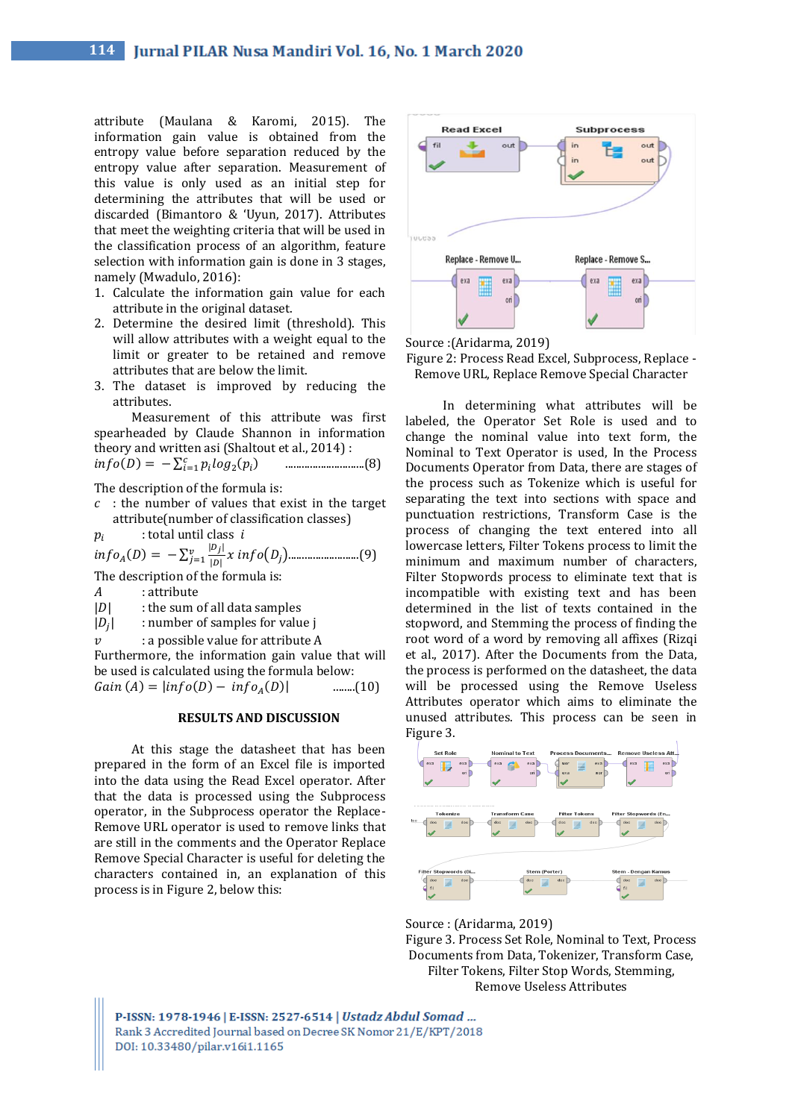attribute (Maulana & Karomi, 2015). The information gain value is obtained from the entropy value before separation reduced by the entropy value after separation. Measurement of this value is only used as an initial step for determining the attributes that will be used or discarded (Bimantoro & 'Uyun, 2017). Attributes that meet the weighting criteria that will be used in the classification process of an algorithm, feature selection with information gain is done in 3 stages, namely (Mwadulo, 2016):

- 1. Calculate the information gain value for each attribute in the original dataset.
- 2. Determine the desired limit (threshold). This will allow attributes with a weight equal to the limit or greater to be retained and remove attributes that are below the limit.
- 3. The dataset is improved by reducing the attributes.

Measurement of this attribute was first spearheaded by Claude Shannon in information theory and written asi (Shaltout et al., 2014) :

() = − ∑ <sup>2</sup> ( ) =1 .............................(8)

The description of the formula is:

 $c$ : the number of values that exist in the target attribute(number of classification classes)

 $p_i$ : total until class

 () = − ∑ | | || () =1 ..........................(9) The description of the formula is:

- A : attribute
- $|D|$  : the sum of all data samples
- $|D_i|$ | : number of samples for value j
- $\upsilon$  : a possible value for attribute A

Furthermore, the information gain value that will be used is calculated using the formula below:  $Gain (A) = |info(D) - info_A(D)|$  $\dots$ (10)

#### **RESULTS AND DISCUSSION**

At this stage the datasheet that has been prepared in the form of an Excel file is imported into the data using the Read Excel operator. After that the data is processed using the Subprocess operator, in the Subprocess operator the Replace-Remove URL operator is used to remove links that are still in the comments and the Operator Replace Remove Special Character is useful for deleting the characters contained in, an explanation of this process is in Figure 2, below this:



Source :(Aridarma, 2019)

Figure 2: Process Read Excel, Subprocess, Replace - Remove URL, Replace Remove Special Character

In determining what attributes will be labeled, the Operator Set Role is used and to change the nominal value into text form, the Nominal to Text Operator is used, In the Process Documents Operator from Data, there are stages of the process such as Tokenize which is useful for separating the text into sections with space and punctuation restrictions, Transform Case is the process of changing the text entered into all lowercase letters, Filter Tokens process to limit the minimum and maximum number of characters, Filter Stopwords process to eliminate text that is incompatible with existing text and has been determined in the list of texts contained in the stopword, and Stemming the process of finding the root word of a word by removing all affixes (Rizqi et al., 2017). After the Documents from the Data, the process is performed on the datasheet, the data will be processed using the Remove Useless Attributes operator which aims to eliminate the unused attributes. This process can be seen in Figure 3.





Figure 3*.* Process Set Role, Nominal to Text, Process Documents from Data, Tokenizer, Transform Case, Filter Tokens, Filter Stop Words, Stemming, Remove Useless Attributes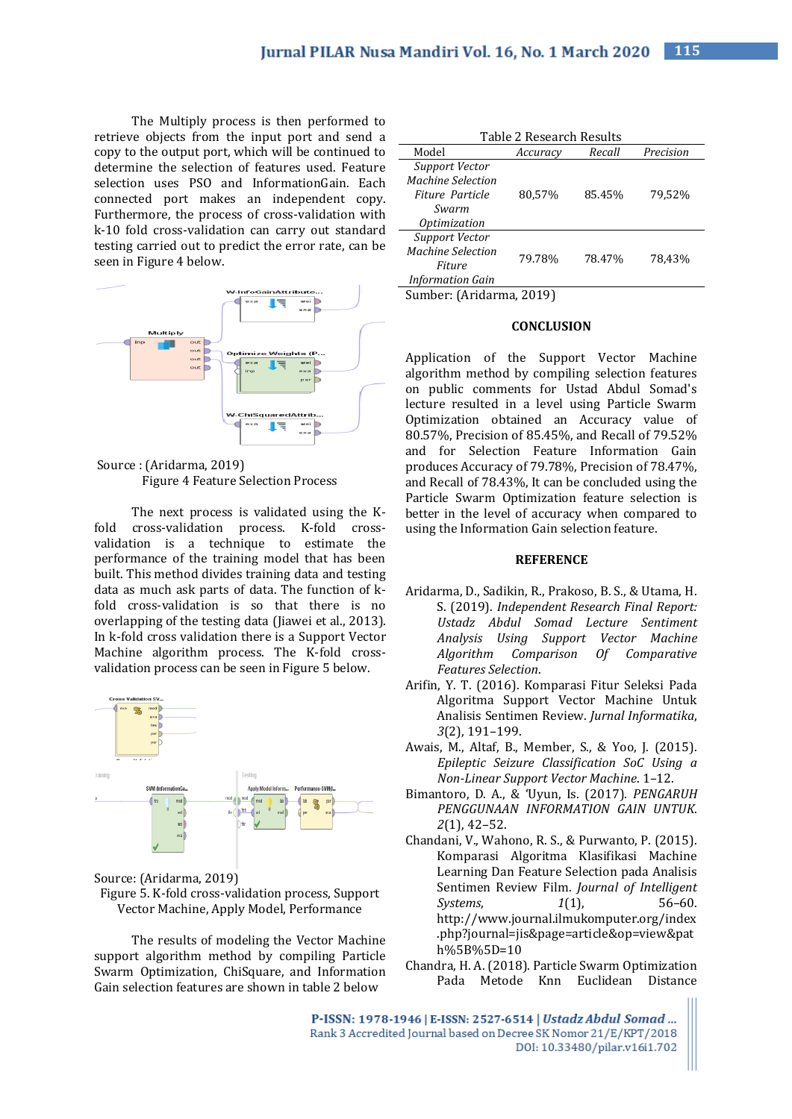The Multiply process is then performed to retrieve objects from the input port and send a copy to the output port, which will be continued to determine the selection of features used. Feature selection uses PSO and InformationGain. Each connected port makes an independent copy. Furthermore, the process of cross-validation with k-10 fold cross-validation can carry out standard testing carried out to predict the error rate, can be seen in Figure 4 below.



Source : (Aridarma, 2019) Figure 4 Feature Selection Process

The next process is validated using the Kfold cross-validation process. K-fold crossvalidation is a technique to estimate the performance of the training model that has been built. This method divides training data and testing data as much ask parts of data. The function of kfold cross-validation is so that there is no overlapping of the testing data (Jiawei et al., 2013). In k-fold cross validation there is a Support Vector Machine algorithm process. The K-fold crossvalidation process can be seen in Figure 5 below.





The results of modeling the Vector Machine support algorithm method by compiling Particle Swarm Optimization, ChiSquare, and Information Gain selection features are shown in table 2 below

| Table 2 Research Results                                                        |          |        |           |  |  |
|---------------------------------------------------------------------------------|----------|--------|-----------|--|--|
| Model                                                                           | Accuracy | Recall | Precision |  |  |
| Support Vector<br>Machine Selection<br>Fiture Particle<br>Swarm<br>Optimization | 80,57%   | 85.45% | 79,52%    |  |  |
| Support Vector<br>Machine Selection<br>Fiture<br><b>Information Gain</b>        | 79.78%   | 78.47% | 78.43%    |  |  |
| $\begin{array}{ccccccccccccccccc}\n0 & 1 & 0 & 1\n\end{array}$<br>ากงก          |          |        |           |  |  |

Sumber: (Aridarma, 2019)

## **CONCLUSION**

Application of the Support Vector Machine algorithm method by compiling selection features on public comments for Ustad Abdul Somad's lecture resulted in a level using Particle Swarm Optimization obtained an Accuracy value of 80.57%, Precision of 85.45%, and Recall of 79.52% and for Selection Feature Information Gain produces Accuracy of 79.78%, Precision of 78.47%, and Recall of 78.43%, It can be concluded using the Particle Swarm Optimization feature selection is better in the level of accuracy when compared to using the Information Gain selection feature.

## **REFERENCE**

- Aridarma, D., Sadikin, R., Prakoso, B. S., & Utama, H. S. (2019). *Independent Research Final Report: Ustadz Abdul Somad Lecture Sentiment Analysis Using Support Vector Machine Algorithm Comparison Of Comparative Features Selection*.
- Arifin, Y. T. (2016). Komparasi Fitur Seleksi Pada Algoritma Support Vector Machine Untuk Analisis Sentimen Review. *Jurnal Informatika*, *3*(2), 191–199.
- Awais, M., Altaf, B., Member, S., & Yoo, J. (2015). *Epileptic Seizure Classification SoC Using a Non-Linear Support Vector Machine*. 1–12.
- Bimantoro, D. A., & 'Uyun, Is. (2017). *PENGARUH PENGGUNAAN INFORMATION GAIN UNTUK*. *2*(1), 42–52.
- Chandani, V., Wahono, R. S., & Purwanto, P. (2015). Komparasi Algoritma Klasifikasi Machine Learning Dan Feature Selection pada Analisis Sentimen Review Film. *Journal of Intelligent Systems*, *1*(1), 56–60. http://www.journal.ilmukomputer.org/index .php?journal=jis&page=article&op=view&pat h%5B%5D=10
- Chandra, H. A. (2018). Particle Swarm Optimization Pada Metode Knn Euclidean Distance